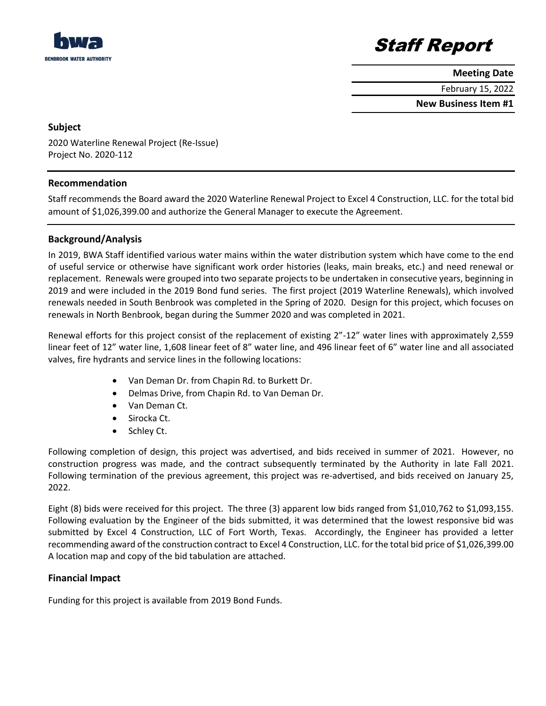



**Meeting Date**

February 15, 2022

**New Business Item #1**

## **Subject**

2020 Waterline Renewal Project (Re-Issue) Project No. 2020-112

# **Recommendation**

Staff recommends the Board award the 2020 Waterline Renewal Project to Excel 4 Construction, LLC. for the total bid amount of \$1,026,399.00 and authorize the General Manager to execute the Agreement.

# **Background/Analysis**

In 2019, BWA Staff identified various water mains within the water distribution system which have come to the end of useful service or otherwise have significant work order histories (leaks, main breaks, etc.) and need renewal or replacement. Renewals were grouped into two separate projects to be undertaken in consecutive years, beginning in 2019 and were included in the 2019 Bond fund series. The first project (2019 Waterline Renewals), which involved renewals needed in South Benbrook was completed in the Spring of 2020. Design for this project, which focuses on renewals in North Benbrook, began during the Summer 2020 and was completed in 2021.

Renewal efforts for this project consist of the replacement of existing 2"-12" water lines with approximately 2,559 linear feet of 12" water line, 1,608 linear feet of 8" water line, and 496 linear feet of 6" water line and all associated valves, fire hydrants and service lines in the following locations:

- Van Deman Dr. from Chapin Rd. to Burkett Dr.
- Delmas Drive, from Chapin Rd. to Van Deman Dr.
- Van Deman Ct.
- Sirocka Ct.
- Schley Ct.

Following completion of design, this project was advertised, and bids received in summer of 2021. However, no construction progress was made, and the contract subsequently terminated by the Authority in late Fall 2021. Following termination of the previous agreement, this project was re-advertised, and bids received on January 25, 2022.

Eight (8) bids were received for this project. The three (3) apparent low bids ranged from \$1,010,762 to \$1,093,155. Following evaluation by the Engineer of the bids submitted, it was determined that the lowest responsive bid was submitted by Excel 4 Construction, LLC of Fort Worth, Texas. Accordingly, the Engineer has provided a letter recommending award of the construction contract to Excel 4 Construction, LLC. for the total bid price of \$1,026,399.00 A location map and copy of the bid tabulation are attached.

## **Financial Impact**

Funding for this project is available from 2019 Bond Funds.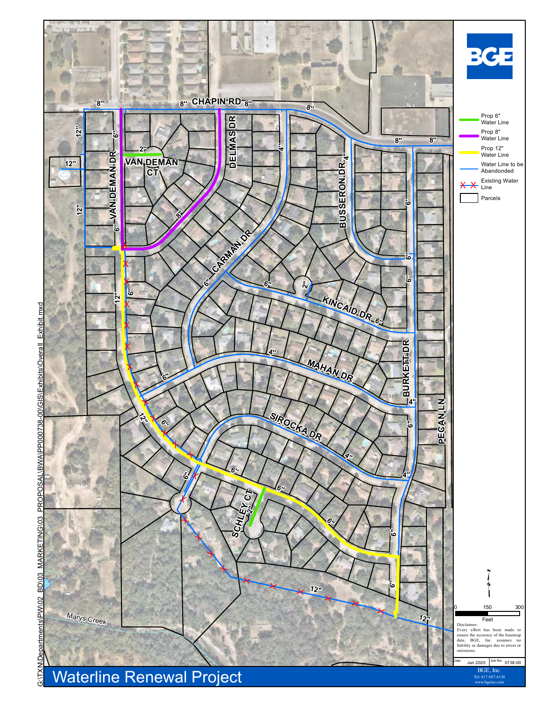

Tel: 817-887-6130 www.bgeinc.com